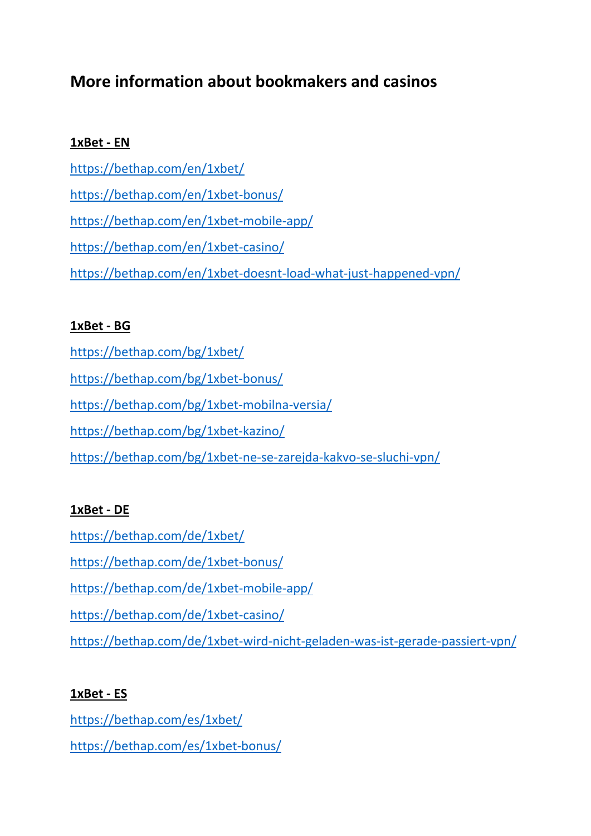# **More information about bookmakers and casinos**

## **1xBet - EN**

<https://bethap.com/en/1xbet/> <https://bethap.com/en/1xbet-bonus/> <https://bethap.com/en/1xbet-mobile-app/> <https://bethap.com/en/1xbet-casino/> <https://bethap.com/en/1xbet-doesnt-load-what-just-happened-vpn/>

## **1xBet - BG**

<https://bethap.com/bg/1xbet/>

<https://bethap.com/bg/1xbet-bonus/>

<https://bethap.com/bg/1xbet-mobilna-versia/>

<https://bethap.com/bg/1xbet-kazino/>

<https://bethap.com/bg/1xbet-ne-se-zarejda-kakvo-se-sluchi-vpn/>

## **1xBet - DE**

<https://bethap.com/de/1xbet/>

<https://bethap.com/de/1xbet-bonus/>

<https://bethap.com/de/1xbet-mobile-app/>

<https://bethap.com/de/1xbet-casino/>

<https://bethap.com/de/1xbet-wird-nicht-geladen-was-ist-gerade-passiert-vpn/>

# **1xBet - ES**

<https://bethap.com/es/1xbet/> <https://bethap.com/es/1xbet-bonus/>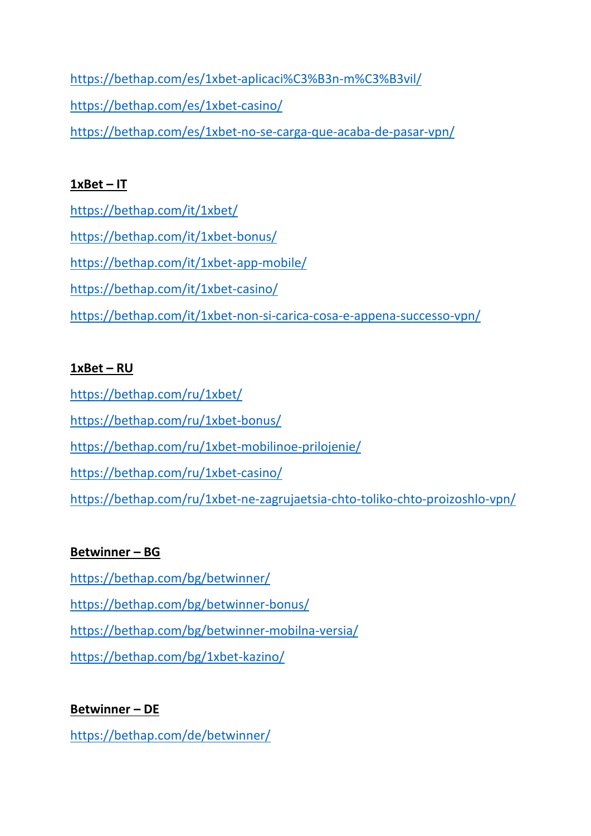<https://bethap.com/es/1xbet-aplicaci%C3%B3n-m%C3%B3vil/> <https://bethap.com/es/1xbet-casino/> <https://bethap.com/es/1xbet-no-se-carga-que-acaba-de-pasar-vpn/>

## **1xBet – IT**

<https://bethap.com/it/1xbet/> <https://bethap.com/it/1xbet-bonus/> <https://bethap.com/it/1xbet-app-mobile/> <https://bethap.com/it/1xbet-casino/> <https://bethap.com/it/1xbet-non-si-carica-cosa-e-appena-successo-vpn/>

# **1xBet – RU**

<https://bethap.com/ru/1xbet/>

<https://bethap.com/ru/1xbet-bonus/>

<https://bethap.com/ru/1xbet-mobilinoe-prilojenie/>

<https://bethap.com/ru/1xbet-casino/>

<https://bethap.com/ru/1xbet-ne-zagrujaetsia-chto-toliko-chto-proizoshlo-vpn/>

# **Betwinner – BG**

<https://bethap.com/bg/betwinner/>

<https://bethap.com/bg/betwinner-bonus/>

<https://bethap.com/bg/betwinner-mobilna-versia/>

<https://bethap.com/bg/1xbet-kazino/>

# **Betwinner – DE**

<https://bethap.com/de/betwinner/>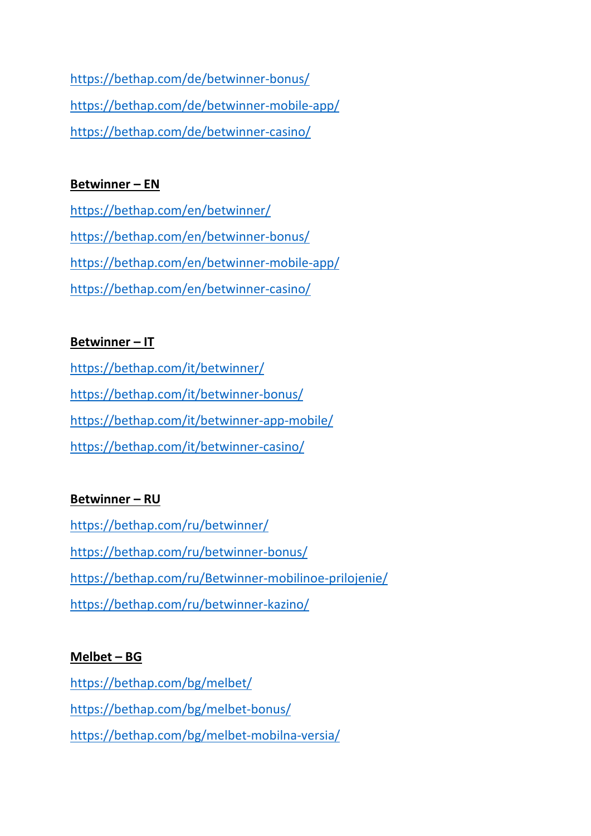<https://bethap.com/de/betwinner-bonus/> <https://bethap.com/de/betwinner-mobile-app/> <https://bethap.com/de/betwinner-casino/>

#### **Betwinner – EN**

<https://bethap.com/en/betwinner/> <https://bethap.com/en/betwinner-bonus/> <https://bethap.com/en/betwinner-mobile-app/> <https://bethap.com/en/betwinner-casino/>

#### **Betwinner – IT**

<https://bethap.com/it/betwinner/> <https://bethap.com/it/betwinner-bonus/> <https://bethap.com/it/betwinner-app-mobile/> <https://bethap.com/it/betwinner-casino/>

## **Betwinner – RU**

<https://bethap.com/ru/betwinner/> <https://bethap.com/ru/betwinner-bonus/> <https://bethap.com/ru/Betwinner-mobilinoe-prilojenie/> <https://bethap.com/ru/betwinner-kazino/>

## **Melbet – BG**

<https://bethap.com/bg/melbet/> <https://bethap.com/bg/melbet-bonus/> <https://bethap.com/bg/melbet-mobilna-versia/>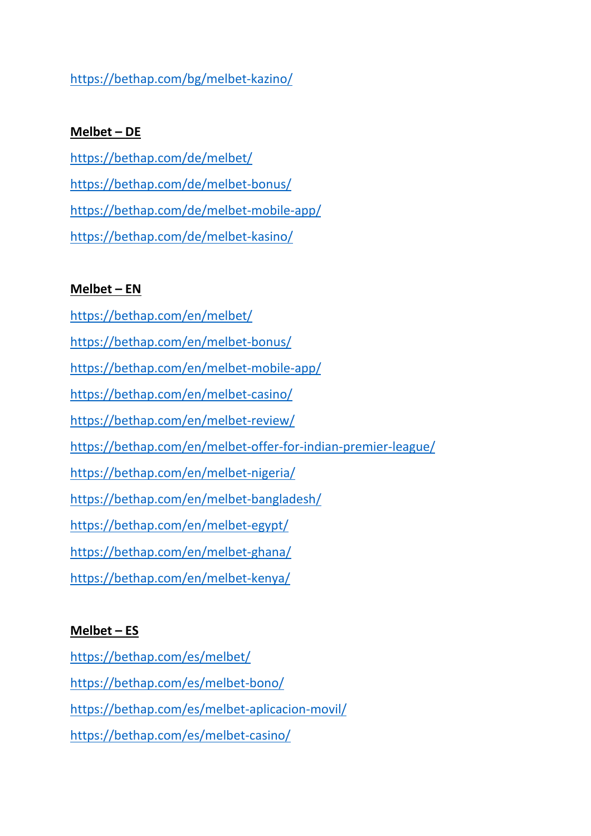## <https://bethap.com/bg/melbet-kazino/>

#### **Melbet – DE**

<https://bethap.com/de/melbet/> <https://bethap.com/de/melbet-bonus/> <https://bethap.com/de/melbet-mobile-app/> <https://bethap.com/de/melbet-kasino/>

#### **Melbet – EN**

- <https://bethap.com/en/melbet/>
- <https://bethap.com/en/melbet-bonus/>
- <https://bethap.com/en/melbet-mobile-app/>
- <https://bethap.com/en/melbet-casino/>
- <https://bethap.com/en/melbet-review/>
- <https://bethap.com/en/melbet-offer-for-indian-premier-league/>
- <https://bethap.com/en/melbet-nigeria/>
- <https://bethap.com/en/melbet-bangladesh/>
- <https://bethap.com/en/melbet-egypt/>
- <https://bethap.com/en/melbet-ghana/>
- <https://bethap.com/en/melbet-kenya/>

## **Melbet – ES**

- <https://bethap.com/es/melbet/>
- <https://bethap.com/es/melbet-bono/>
- <https://bethap.com/es/melbet-aplicacion-movil/>
- <https://bethap.com/es/melbet-casino/>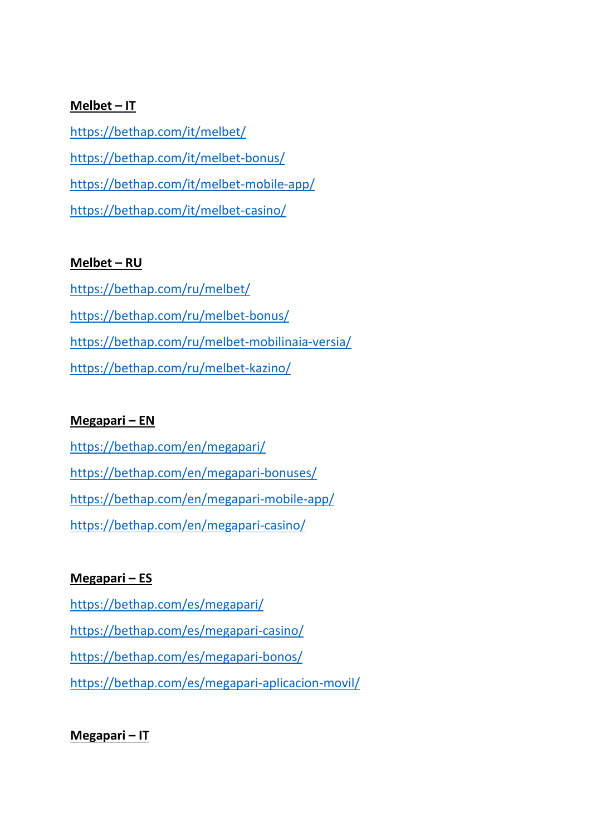#### **Melbet – IT**

<https://bethap.com/it/melbet/> <https://bethap.com/it/melbet-bonus/> <https://bethap.com/it/melbet-mobile-app/> <https://bethap.com/it/melbet-casino/>

#### **Melbet – RU**

<https://bethap.com/ru/melbet/> <https://bethap.com/ru/melbet-bonus/> <https://bethap.com/ru/melbet-mobilinaia-versia/> <https://bethap.com/ru/melbet-kazino/>

#### **Megapari – EN**

<https://bethap.com/en/megapari/> <https://bethap.com/en/megapari-bonuses/> <https://bethap.com/en/megapari-mobile-app/> <https://bethap.com/en/megapari-casino/>

## **Megapari – ES**

<https://bethap.com/es/megapari/> <https://bethap.com/es/megapari-casino/> <https://bethap.com/es/megapari-bonos/> <https://bethap.com/es/megapari-aplicacion-movil/>

## **Megapari – IT**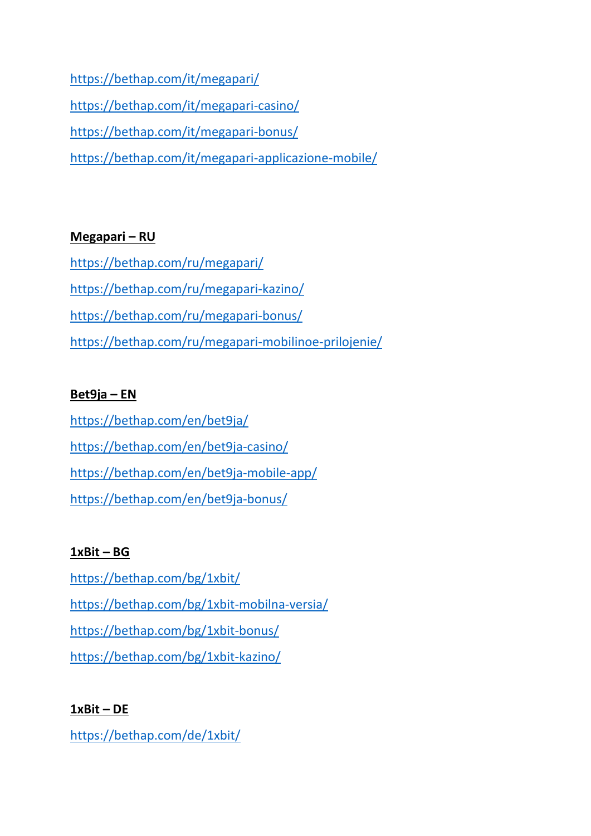<https://bethap.com/it/megapari/> <https://bethap.com/it/megapari-casino/> <https://bethap.com/it/megapari-bonus/> <https://bethap.com/it/megapari-applicazione-mobile/>

## **Megapari – RU**

<https://bethap.com/ru/megapari/> <https://bethap.com/ru/megapari-kazino/> <https://bethap.com/ru/megapari-bonus/> <https://bethap.com/ru/megapari-mobilinoe-prilojenie/>

## **Bet9ja – EN**

<https://bethap.com/en/bet9ja/> <https://bethap.com/en/bet9ja-casino/> <https://bethap.com/en/bet9ja-mobile-app/> <https://bethap.com/en/bet9ja-bonus/>

# **1xBit – BG**

<https://bethap.com/bg/1xbit/> <https://bethap.com/bg/1xbit-mobilna-versia/> <https://bethap.com/bg/1xbit-bonus/> <https://bethap.com/bg/1xbit-kazino/>

# **1xBit – DE**

<https://bethap.com/de/1xbit/>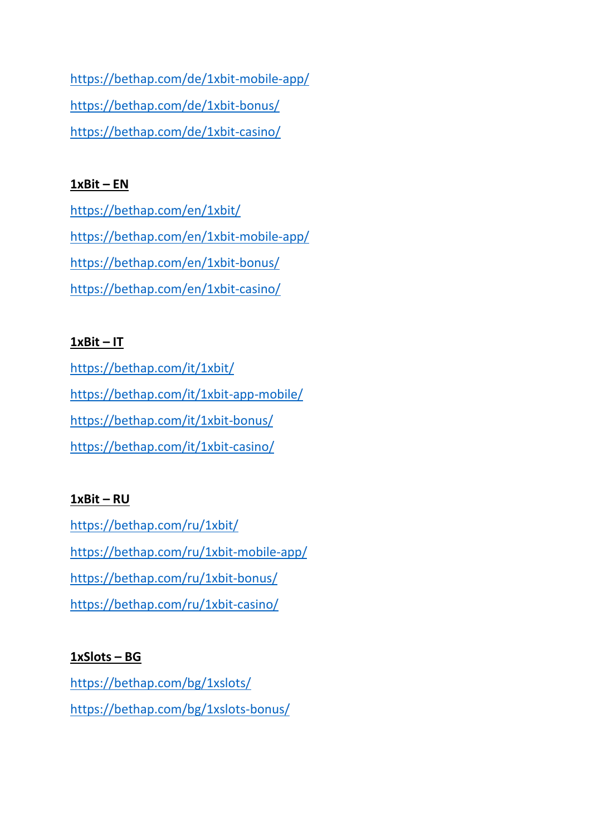<https://bethap.com/de/1xbit-mobile-app/> <https://bethap.com/de/1xbit-bonus/> <https://bethap.com/de/1xbit-casino/>

#### **1xBit – EN**

<https://bethap.com/en/1xbit/> <https://bethap.com/en/1xbit-mobile-app/> <https://bethap.com/en/1xbit-bonus/> <https://bethap.com/en/1xbit-casino/>

## **1xBit – IT**

<https://bethap.com/it/1xbit/> <https://bethap.com/it/1xbit-app-mobile/> <https://bethap.com/it/1xbit-bonus/> <https://bethap.com/it/1xbit-casino/>

## **1xBit – RU**

<https://bethap.com/ru/1xbit/> <https://bethap.com/ru/1xbit-mobile-app/> <https://bethap.com/ru/1xbit-bonus/> <https://bethap.com/ru/1xbit-casino/>

## **1xSlots – BG**

<https://bethap.com/bg/1xslots/> <https://bethap.com/bg/1xslots-bonus/>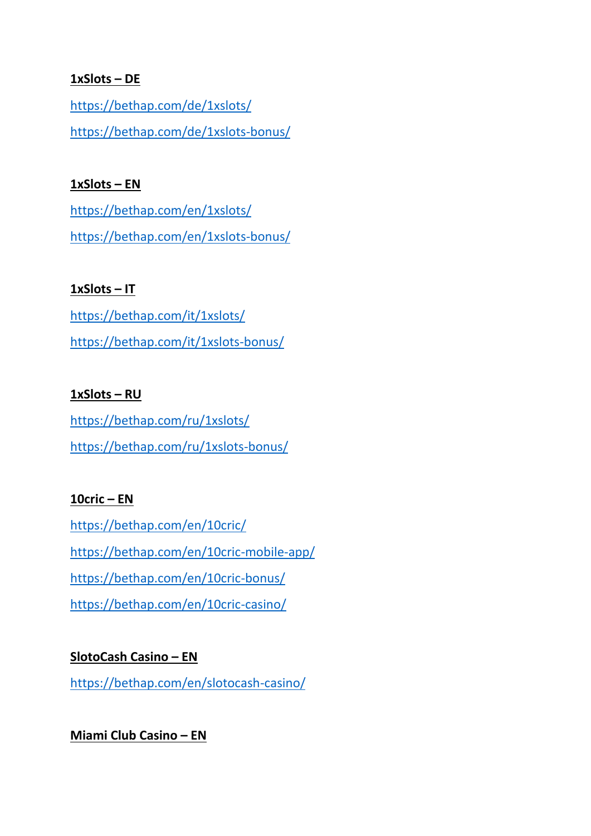#### **1xSlots – DE**

<https://bethap.com/de/1xslots/> <https://bethap.com/de/1xslots-bonus/>

#### **1xSlots – EN**

<https://bethap.com/en/1xslots/> <https://bethap.com/en/1xslots-bonus/>

#### **1xSlots – IT**

<https://bethap.com/it/1xslots/> <https://bethap.com/it/1xslots-bonus/>

## **1xSlots – RU**

<https://bethap.com/ru/1xslots/> <https://bethap.com/ru/1xslots-bonus/>

## **10cric – EN**

<https://bethap.com/en/10cric/> <https://bethap.com/en/10cric-mobile-app/> <https://bethap.com/en/10cric-bonus/> <https://bethap.com/en/10cric-casino/>

## **SlotoCash Casino – EN**

<https://bethap.com/en/slotocash-casino/>

## **Miami Club Casino – EN**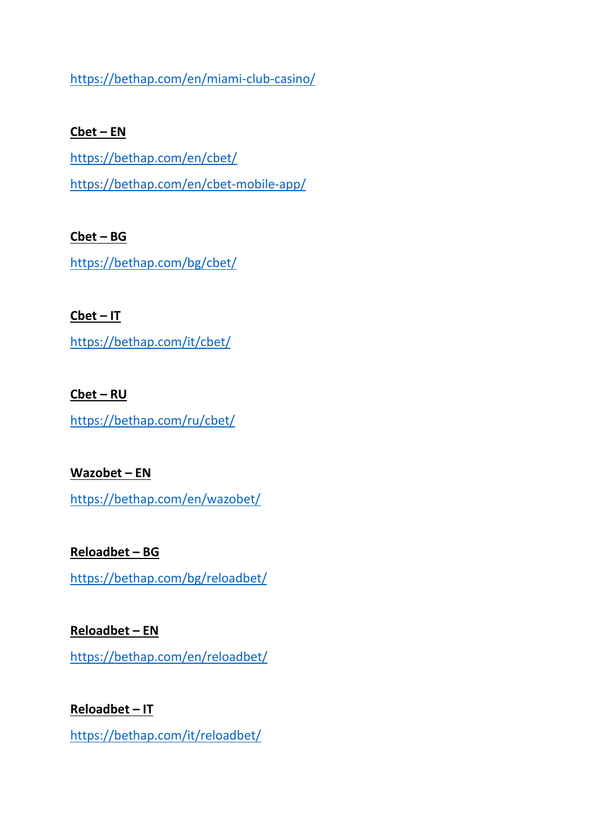<https://bethap.com/en/miami-club-casino/>

#### **Cbet – EN**

<https://bethap.com/en/cbet/> <https://bethap.com/en/cbet-mobile-app/>

## **Cbet – BG**

<https://bethap.com/bg/cbet/>

## **Cbet – IT**

<https://bethap.com/it/cbet/>

#### **Cbet – RU**

<https://bethap.com/ru/cbet/>

## **Wazobet – EN**

<https://bethap.com/en/wazobet/>

# **Reloadbet – BG**

<https://bethap.com/bg/reloadbet/>

# **Reloadbet – EN**

<https://bethap.com/en/reloadbet/>

# **Reloadbet – IT**

<https://bethap.com/it/reloadbet/>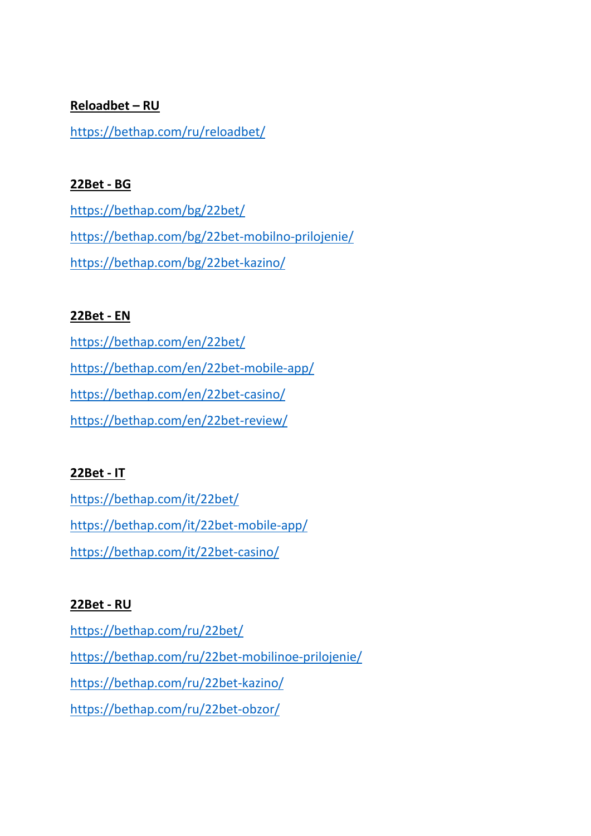#### **Reloadbet – RU**

<https://bethap.com/ru/reloadbet/>

#### **22Bet - BG**

<https://bethap.com/bg/22bet/> <https://bethap.com/bg/22bet-mobilno-prilojenie/> <https://bethap.com/bg/22bet-kazino/>

## **22Bet - EN**

<https://bethap.com/en/22bet/> <https://bethap.com/en/22bet-mobile-app/> <https://bethap.com/en/22bet-casino/> <https://bethap.com/en/22bet-review/>

# **22Bet - IT**

<https://bethap.com/it/22bet/> <https://bethap.com/it/22bet-mobile-app/> <https://bethap.com/it/22bet-casino/>

## **22Bet - RU**

<https://bethap.com/ru/22bet/> <https://bethap.com/ru/22bet-mobilinoe-prilojenie/> <https://bethap.com/ru/22bet-kazino/> <https://bethap.com/ru/22bet-obzor/>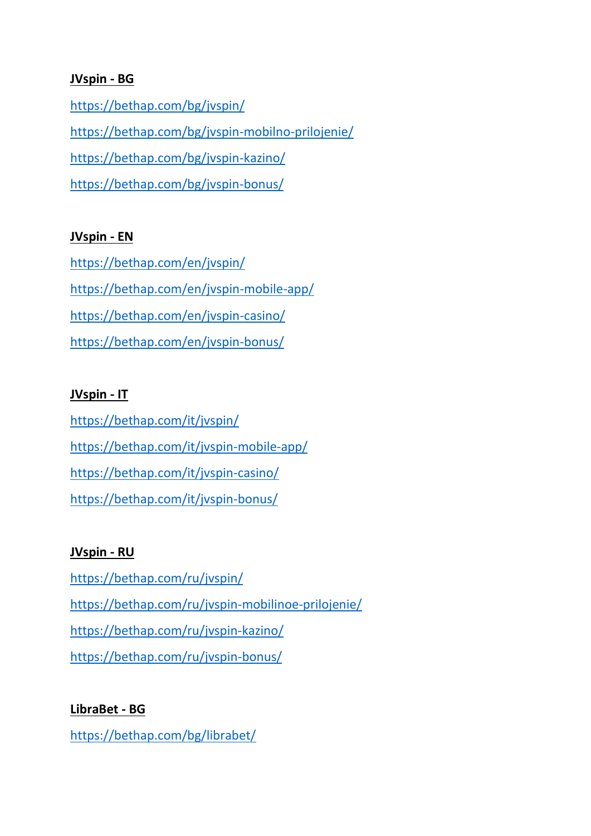#### **JVspin - BG**

<https://bethap.com/bg/jvspin/> <https://bethap.com/bg/jvspin-mobilno-prilojenie/> <https://bethap.com/bg/jvspin-kazino/> <https://bethap.com/bg/jvspin-bonus/>

#### **JVspin - EN**

<https://bethap.com/en/jvspin/> <https://bethap.com/en/jvspin-mobile-app/> <https://bethap.com/en/jvspin-casino/> <https://bethap.com/en/jvspin-bonus/>

#### **JVspin - IT**

<https://bethap.com/it/jvspin/> <https://bethap.com/it/jvspin-mobile-app/> <https://bethap.com/it/jvspin-casino/> <https://bethap.com/it/jvspin-bonus/>

#### **JVspin - RU**

<https://bethap.com/ru/jvspin/> <https://bethap.com/ru/jvspin-mobilinoe-prilojenie/> <https://bethap.com/ru/jvspin-kazino/> <https://bethap.com/ru/jvspin-bonus/>

## **LibraBet - BG**

<https://bethap.com/bg/librabet/>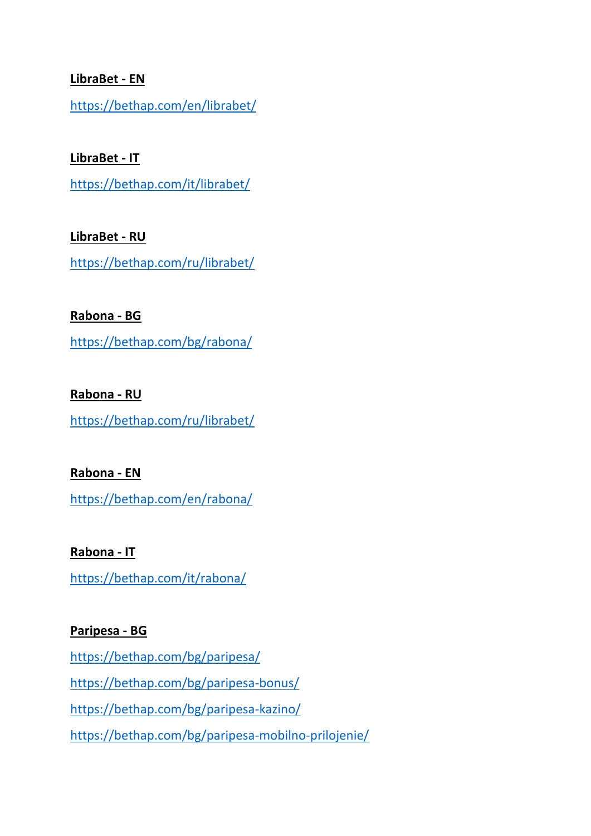#### **LibraBet - EN**

<https://bethap.com/en/librabet/>

**LibraBet - IT**

<https://bethap.com/it/librabet/>

**LibraBet - RU** <https://bethap.com/ru/librabet/>

**Rabona - BG**

<https://bethap.com/bg/rabona/>

**Rabona - RU** <https://bethap.com/ru/librabet/>

**Rabona - EN** <https://bethap.com/en/rabona/>

**Rabona - IT** <https://bethap.com/it/rabona/>

#### **Paripesa - BG**

<https://bethap.com/bg/paripesa/> <https://bethap.com/bg/paripesa-bonus/> <https://bethap.com/bg/paripesa-kazino/> <https://bethap.com/bg/paripesa-mobilno-prilojenie/>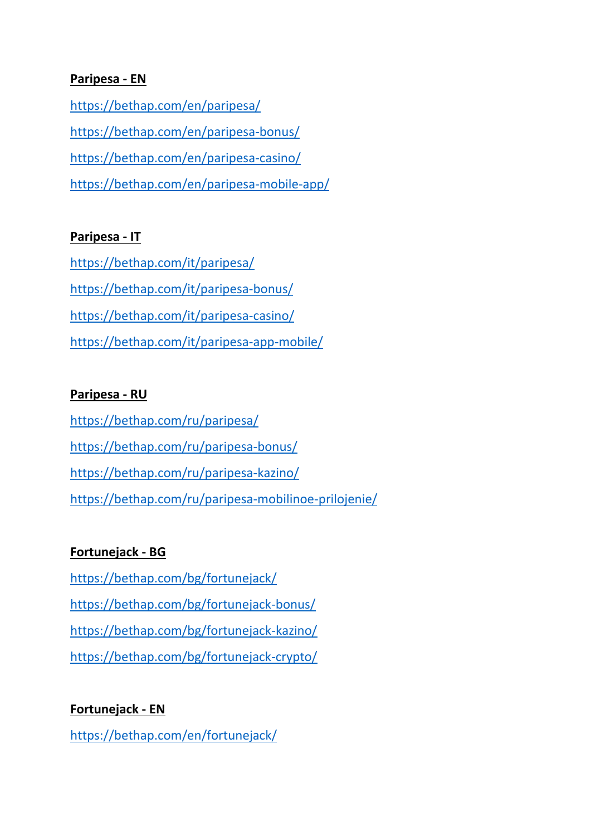#### **Paripesa - EN**

<https://bethap.com/en/paripesa/> <https://bethap.com/en/paripesa-bonus/> <https://bethap.com/en/paripesa-casino/> <https://bethap.com/en/paripesa-mobile-app/>

#### **Paripesa - IT**

<https://bethap.com/it/paripesa/> <https://bethap.com/it/paripesa-bonus/> <https://bethap.com/it/paripesa-casino/> <https://bethap.com/it/paripesa-app-mobile/>

#### **Paripesa - RU**

<https://bethap.com/ru/paripesa/> <https://bethap.com/ru/paripesa-bonus/> <https://bethap.com/ru/paripesa-kazino/> <https://bethap.com/ru/paripesa-mobilinoe-prilojenie/>

## **Fortunejack - BG**

<https://bethap.com/bg/fortunejack/> <https://bethap.com/bg/fortunejack-bonus/> <https://bethap.com/bg/fortunejack-kazino/> <https://bethap.com/bg/fortunejack-crypto/>

## **Fortunejack - EN**

<https://bethap.com/en/fortunejack/>